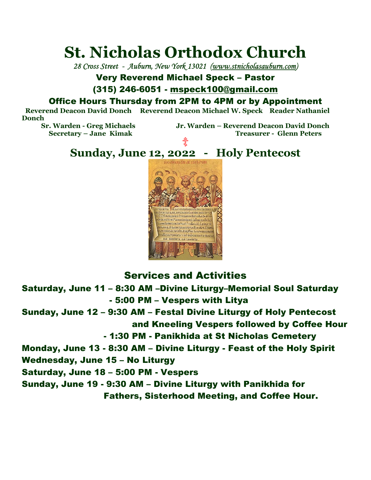# **St. Nicholas Orthodox Church**

*28 Cross Street - Auburn, New York 13021 (www.stnicholasauburn.com)*

## Very Reverend Michael Speck – Pastor

### (315) 246-6051 - mspeck100@gmail.com

## Office Hours Thursday from 2PM to 4PM or by Appointment

 **Reverend Deacon David Donch Reverend Deacon Michael W. Speck Reader Nathaniel Donch** 

**Secretary – Jane Kimak** 

**Sr. Warden - Greg Michaels Jr. Warden – Reverend Deacon David Donch**  非

# **Sunday, June 12, 2022 - Holy Pentecost**



## Services and Activities

Saturday, June 11 – 8:30 AM –Divine Liturgy–Memorial Soul Saturday - 5:00 PM – Vespers with Litya Sunday, June 12 – 9:30 AM – Festal Divine Liturgy of Holy Pentecost

and Kneeling Vespers followed by Coffee Hour

- 1:30 PM - Panikhida at St Nicholas Cemetery

Monday, June 13 - 8:30 AM – Divine Liturgy - Feast of the Holy Spirit

Wednesday, June 15 – No Liturgy

Saturday, June 18 – 5:00 PM - Vespers

Sunday, June 19 - 9:30 AM – Divine Liturgy with Panikhida for Fathers, Sisterhood Meeting, and Coffee Hour.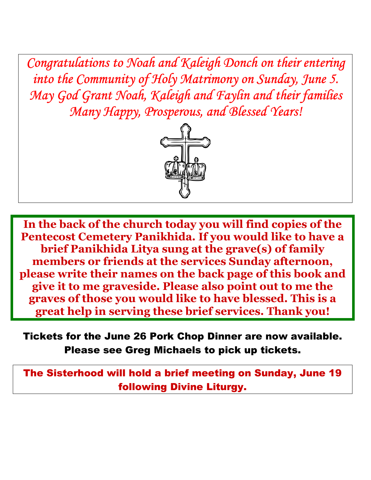*Congratulations to Noah and Kaleigh Donch on their entering into the Community of Holy Matrimony on Sunday, June 5. May God Grant Noah, Kaleigh and Faylin and their families Many Happy, Prosperous, and Blessed Years!* 



**In the back of the church today you will find copies of the Pentecost Cemetery Panikhida. If you would like to have a brief Panikhida Litya sung at the grave(s) of family members or friends at the services Sunday afternoon, please write their names on the back page of this book and give it to me graveside. Please also point out to me the graves of those you would like to have blessed. This is a great help in serving these brief services. Thank you!** 

Tickets for the June 26 Pork Chop Dinner are now available. Please see Greg Michaels to pick up tickets.

The Sisterhood will hold a brief meeting on Sunday, June 19 following Divine Liturgy.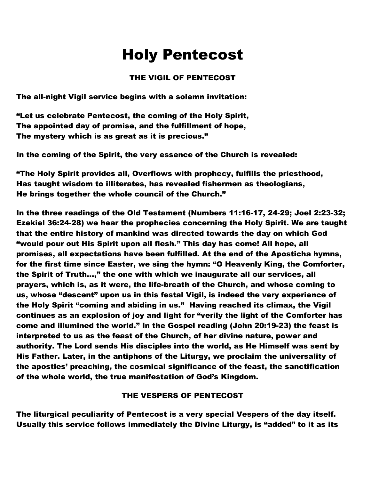## Holy Pentecost

### THE VIGIL OF PENTECOST

The all-night Vigil service begins with a solemn invitation:

"Let us celebrate Pentecost, the coming of the Holy Spirit, The appointed day of promise, and the fulfillment of hope, The mystery which is as great as it is precious."

In the coming of the Spirit, the very essence of the Church is revealed:

"The Holy Spirit provides all, Overflows with prophecy, fulfills the priesthood, Has taught wisdom to illiterates, has revealed fishermen as theologians, He brings together the whole council of the Church."

In the three readings of the Old Testament (Numbers 11:16-17, 24-29; Joel 2:23-32; Ezekiel 36:24-28) we hear the prophecies concerning the Holy Spirit. We are taught that the entire history of mankind was directed towards the day on which God "would pour out His Spirit upon all flesh." This day has come! All hope, all promises, all expectations have been fulfilled. At the end of the Aposticha hymns, for the first time since Easter, we sing the hymn: "O Heavenly King, the Comforter, the Spirit of Truth...," the one with which we inaugurate all our services, all prayers, which is, as it were, the life-breath of the Church, and whose coming to us, whose "descent" upon us in this festal Vigil, is indeed the very experience of the Holy Spirit "coming and abiding in us." Having reached its climax, the Vigil continues as an explosion of joy and light for "verily the light of the Comforter has come and illumined the world." In the Gospel reading (John 20:19-23) the feast is interpreted to us as the feast of the Church, of her divine nature, power and authority. The Lord sends His disciples into the world, as He Himself was sent by His Father. Later, in the antiphons of the Liturgy, we proclaim the universality of the apostles' preaching, the cosmical significance of the feast, the sanctification of the whole world, the true manifestation of God's Kingdom.

### THE VESPERS OF PENTECOST

The liturgical peculiarity of Pentecost is a very special Vespers of the day itself. Usually this service follows immediately the Divine Liturgy, is "added" to it as its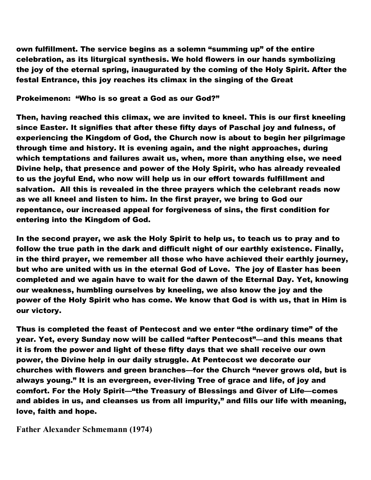own fulfillment. The service begins as a solemn "summing up" of the entire celebration, as its liturgical synthesis. We hold flowers in our hands symbolizing the joy of the eternal spring, inaugurated by the coming of the Holy Spirit. After the festal Entrance, this joy reaches its climax in the singing of the Great

#### Prokeimenon: "Who is so great a God as our God?"

Then, having reached this climax, we are invited to kneel. This is our first kneeling since Easter. It signifies that after these fifty days of Paschal joy and fulness, of experiencing the Kingdom of God, the Church now is about to begin her pilgrimage through time and history. It is evening again, and the night approaches, during which temptations and failures await us, when, more than anything else, we need Divine help, that presence and power of the Holy Spirit, who has already revealed to us the joyful End, who now will help us in our effort towards fulfillment and salvation. All this is revealed in the three prayers which the celebrant reads now as we all kneel and listen to him. In the first prayer, we bring to God our repentance, our increased appeal for forgiveness of sins, the first condition for entering into the Kingdom of God.

In the second prayer, we ask the Holy Spirit to help us, to teach us to pray and to follow the true path in the dark and difficult night of our earthly existence. Finally, in the third prayer, we remember all those who have achieved their earthly journey, but who are united with us in the eternal God of Love. The joy of Easter has been completed and we again have to wait for the dawn of the Eternal Day. Yet, knowing our weakness, humbling ourselves by kneeling, we also know the joy and the power of the Holy Spirit who has come. We know that God is with us, that in Him is our victory.

Thus is completed the feast of Pentecost and we enter "the ordinary time" of the year. Yet, every Sunday now will be called "after Pentecost"—and this means that it is from the power and light of these fifty days that we shall receive our own power, the Divine help in our daily struggle. At Pentecost we decorate our churches with flowers and green branches—for the Church "never grows old, but is always young." It is an evergreen, ever-living Tree of grace and life, of joy and comfort. For the Holy Spirit—"the Treasury of Blessings and Giver of Life—comes and abides in us, and cleanses us from all impurity," and fills our life with meaning, love, faith and hope.

### **Father Alexander Schmemann (1974)**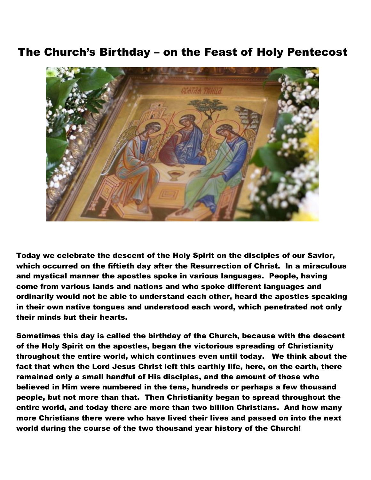## The Church's Birthday – on the Feast of Holy Pentecost



Today we celebrate the descent of the Holy Spirit on the disciples of our Savior, which occurred on the fiftieth day after the Resurrection of Christ. In a miraculous and mystical manner the apostles spoke in various languages. People, having come from various lands and nations and who spoke different languages and ordinarily would not be able to understand each other, heard the apostles speaking in their own native tongues and understood each word, which penetrated not only their minds but their hearts.

Sometimes this day is called the birthday of the Church, because with the descent of the Holy Spirit on the apostles, began the victorious spreading of Christianity throughout the entire world, which continues even until today. We think about the fact that when the Lord Jesus Christ left this earthly life, here, on the earth, there remained only a small handful of His disciples, and the amount of those who believed in Him were numbered in the tens, hundreds or perhaps a few thousand people, but not more than that. Then Christianity began to spread throughout the entire world, and today there are more than two billion Christians. And how many more Christians there were who have lived their lives and passed on into the next world during the course of the two thousand year history of the Church!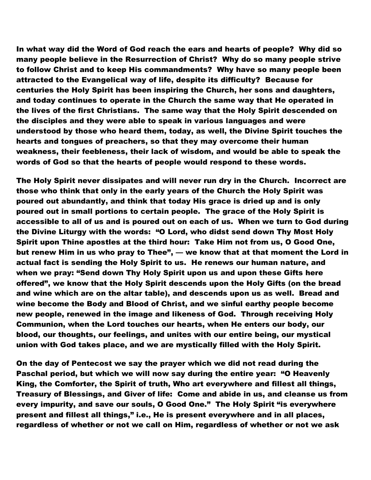In what way did the Word of God reach the ears and hearts of people? Why did so many people believe in the Resurrection of Christ? Why do so many people strive to follow Christ and to keep His commandments? Why have so many people been attracted to the Evangelical way of life, despite its difficulty? Because for centuries the Holy Spirit has been inspiring the Church, her sons and daughters, and today continues to operate in the Church the same way that He operated in the lives of the first Christians. The same way that the Holy Spirit descended on the disciples and they were able to speak in various languages and were understood by those who heard them, today, as well, the Divine Spirit touches the hearts and tongues of preachers, so that they may overcome their human weakness, their feebleness, their lack of wisdom, and would be able to speak the words of God so that the hearts of people would respond to these words.

The Holy Spirit never dissipates and will never run dry in the Church. Incorrect are those who think that only in the early years of the Church the Holy Spirit was poured out abundantly, and think that today His grace is dried up and is only poured out in small portions to certain people. The grace of the Holy Spirit is accessible to all of us and is poured out on each of us. When we turn to God during the Divine Liturgy with the words: "O Lord, who didst send down Thy Most Holy Spirit upon Thine apostles at the third hour: Take Him not from us, O Good One, but renew Him in us who pray to Thee", — we know that at that moment the Lord in actual fact is sending the Holy Spirit to us. He renews our human nature, and when we pray: "Send down Thy Holy Spirit upon us and upon these Gifts here offered", we know that the Holy Spirit descends upon the Holy Gifts (on the bread and wine which are on the altar table), and descends upon us as well. Bread and wine become the Body and Blood of Christ, and we sinful earthy people become new people, renewed in the image and likeness of God. Through receiving Holy Communion, when the Lord touches our hearts, when He enters our body, our blood, our thoughts, our feelings, and unites with our entire being, our mystical union with God takes place, and we are mystically filled with the Holy Spirit.

On the day of Pentecost we say the prayer which we did not read during the Paschal period, but which we will now say during the entire year: "O Heavenly King, the Comforter, the Spirit of truth, Who art everywhere and fillest all things, Treasury of Blessings, and Giver of life: Come and abide in us, and cleanse us from every impurity, and save our souls, O Good One." The Holy Spirit "is everywhere present and fillest all things," i.e., He is present everywhere and in all places, regardless of whether or not we call on Him, regardless of whether or not we ask